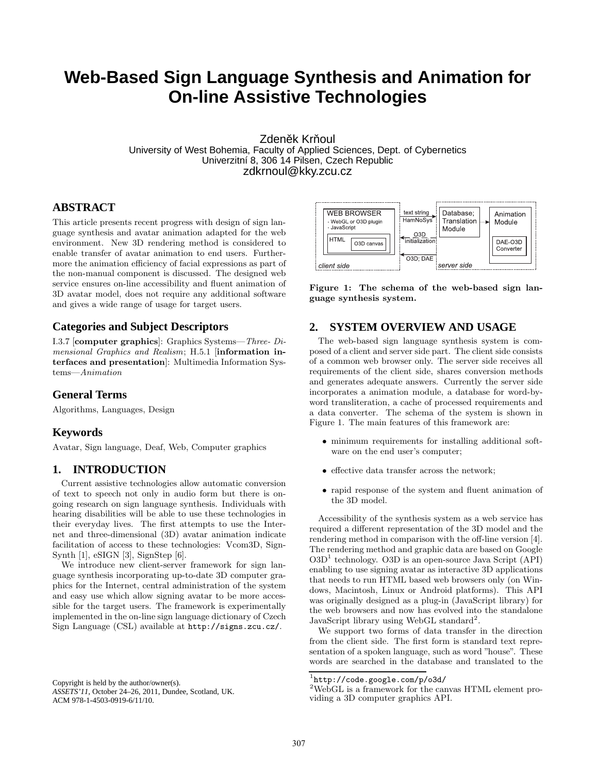# **Web-Based Sign Language Synthesis and Animation for On-line Assistive Technologies**

Zdeněk Krňoul University of West Bohemia, Faculty of Applied Sciences, Dept. of Cybernetics Univerzitní 8, 306 14 Pilsen, Czech Republic zdkrnoul@kky.zcu.cz

## **ABSTRACT**

This article presents recent progress with design of sign language synthesis and avatar animation adapted for the web environment. New 3D rendering method is considered to enable transfer of avatar animation to end users. Furthermore the animation efficiency of facial expressions as part of the non-manual component is discussed. The designed web service ensures on-line accessibility and fluent animation of 3D avatar model, does not require any additional software and gives a wide range of usage for target users.

## **Categories and Subject Descriptors**

I.3.7 [computer graphics]: Graphics Systems—Three- Dimensional Graphics and Realism; H.5.1 [information interfaces and presentation]: Multimedia Information Systems—Animation

## **General Terms**

Algorithms, Languages, Design

## **Keywords**

Avatar, Sign language, Deaf, Web, Computer graphics

#### **1. INTRODUCTION**

Current assistive technologies allow automatic conversion of text to speech not only in audio form but there is ongoing research on sign language synthesis. Individuals with hearing disabilities will be able to use these technologies in their everyday lives. The first attempts to use the Internet and three-dimensional (3D) avatar animation indicate facilitation of access to these technologies: Vcom3D, Sign-Synth [1], eSIGN [3], SignStep [6].

We introduce new client-server framework for sign language synthesis incorporating up-to-date 3D computer graphics for the Internet, central administration of the system and easy use which allow signing avatar to be more accessible for the target users. The framework is experimentally implemented in the on-line sign language dictionary of Czech Sign Language (CSL) available at http://signs.zcu.cz/.

Copyright is held by the author/owner(s). *ASSETS'11,* October 24–26, 2011, Dundee, Scotland, UK. ACM 978-1-4503-0919-6/11/10.



Figure 1: The schema of the web-based sign language synthesis system.

## **2. SYSTEM OVERVIEW AND USAGE**

The web-based sign language synthesis system is composed of a client and server side part. The client side consists of a common web browser only. The server side receives all requirements of the client side, shares conversion methods and generates adequate answers. Currently the server side incorporates a animation module, a database for word-byword transliteration, a cache of processed requirements and a data converter. The schema of the system is shown in Figure 1. The main features of this framework are:

- minimum requirements for installing additional software on the end user's computer;
- effective data transfer across the network;
- rapid response of the system and fluent animation of the 3D model.

Accessibility of the synthesis system as a web service has required a different representation of the 3D model and the rendering method in comparison with the off-line version [4]. The rendering method and graphic data are based on Google O3D<sup>1</sup> technology. O3D is an open-source Java Script (API) enabling to use signing avatar as interactive 3D applications that needs to run HTML based web browsers only (on Windows, Macintosh, Linux or Android platforms). This API was originally designed as a plug-in (JavaScript library) for the web browsers and now has evolved into the standalone JavaScript library using WebGL standard<sup>2</sup>.

We support two forms of data transfer in the direction from the client side. The first form is standard text representation of a spoken language, such as word "house". These words are searched in the database and translated to the

 $^1$ http://code.google.com/p/o3d/

<sup>2</sup>WebGL is a framework for the canvas HTML element providing a 3D computer graphics API.